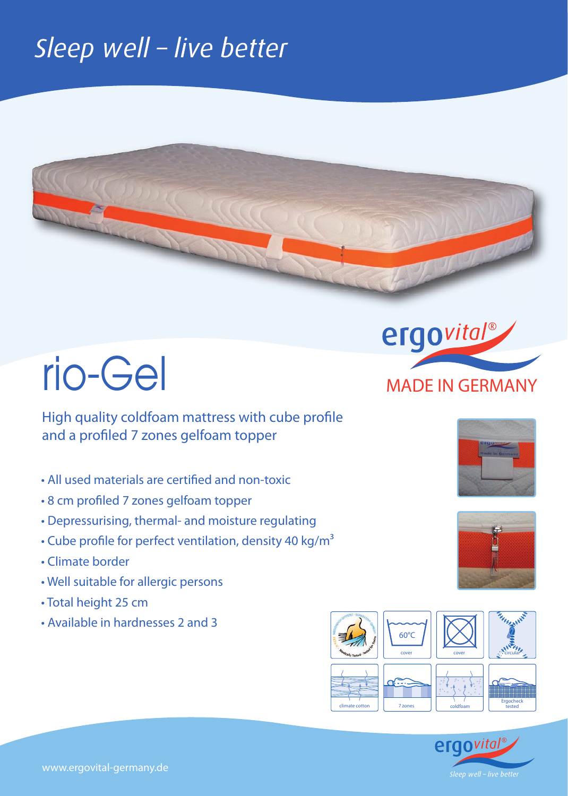# Sleep well - live better



High quality coldfoam mattress with cube profile and a profiled 7 zones gelfoam topper

- All used materials are certified and non-toxic
- 8 cm profiled 7 zones gelfoam topper
- Depressurising, thermal- and moisture regulating
- Cube profile for perfect ventilation, density 40 kg/ $m<sup>3</sup>$
- Climate border
- Well suitable for allergic persons
- Total height 25 cm
- Available in hardnesses 2 and 3